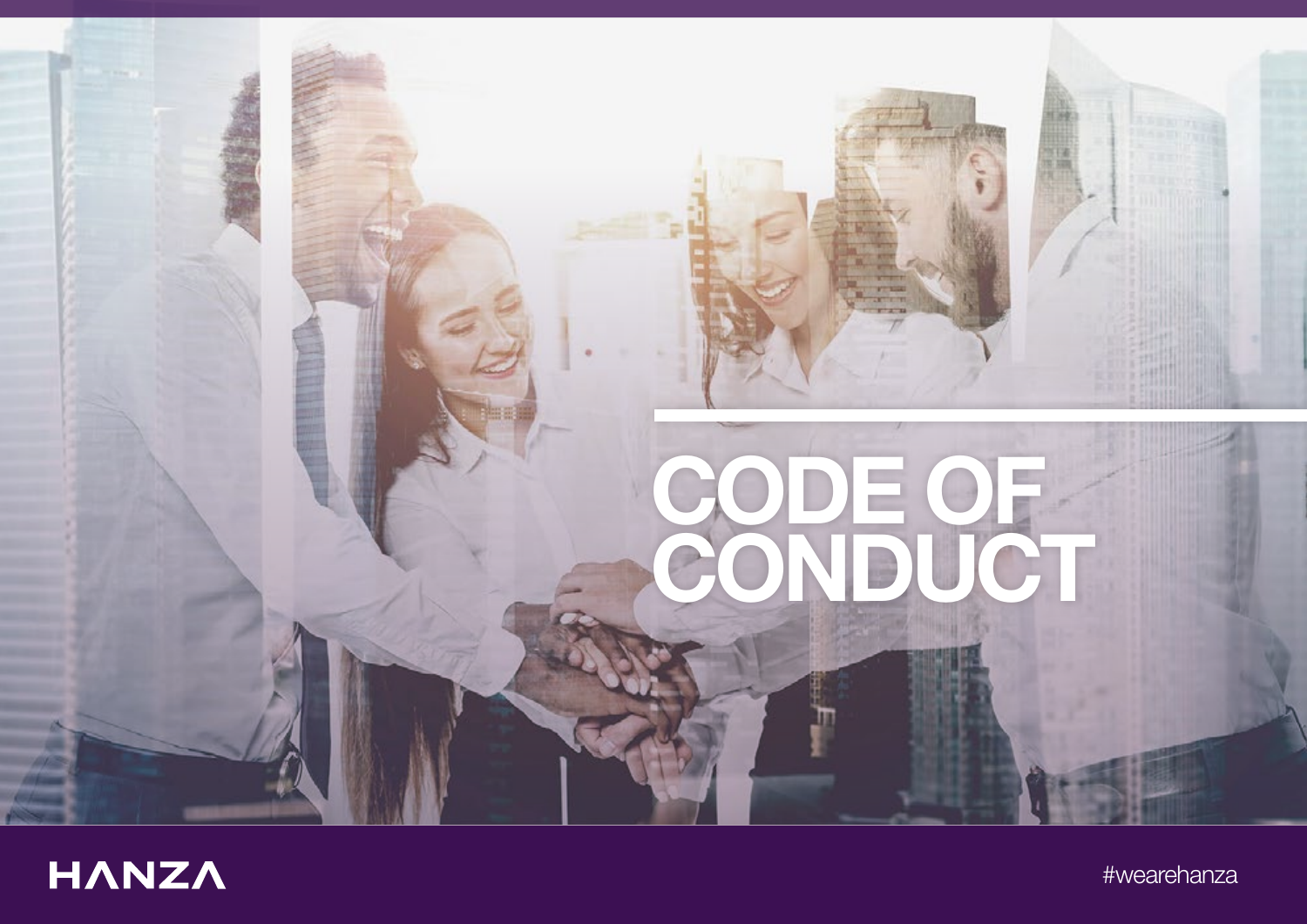



#wearehanza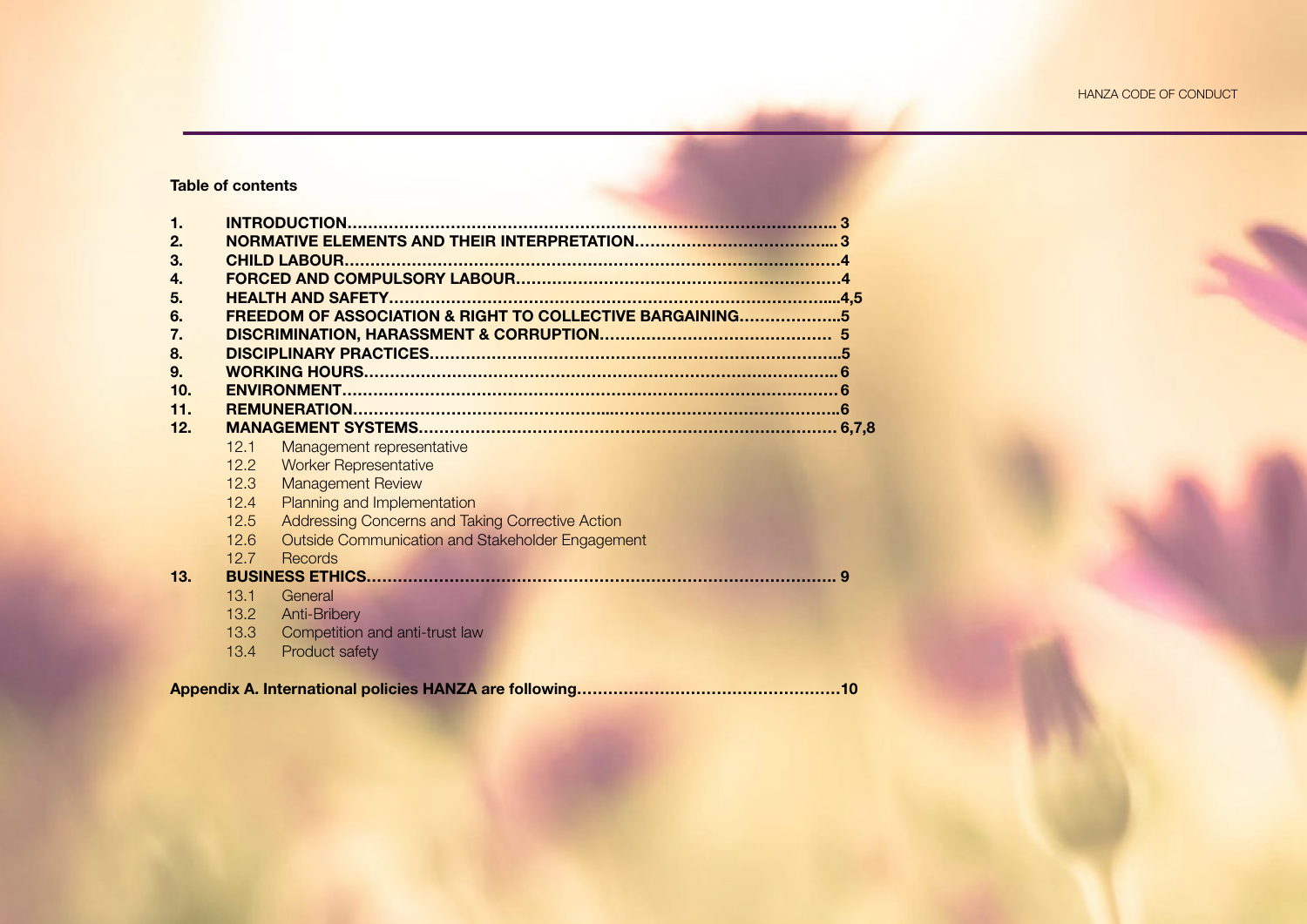# Table of contents

| 1.  |      | <b>INTRODUCTION</b>                                      |     |  |
|-----|------|----------------------------------------------------------|-----|--|
| 2.  |      |                                                          |     |  |
| 3.  |      |                                                          |     |  |
| 4.  |      |                                                          |     |  |
| 5.  |      |                                                          |     |  |
| 6.  |      | FREEDOM OF ASSOCIATION & RIGHT TO COLLECTIVE BARGAINING5 |     |  |
| 7.  |      |                                                          |     |  |
| 8.  |      |                                                          |     |  |
| 9.  |      |                                                          |     |  |
| 10. |      |                                                          |     |  |
| 11. |      |                                                          |     |  |
| 12. |      |                                                          |     |  |
|     | 12.1 | Management representative                                |     |  |
|     | 12.2 | <b>Worker Representative</b>                             |     |  |
|     | 12.3 | <b>Management Review</b>                                 |     |  |
|     | 12.4 | Planning and Implementation                              |     |  |
|     | 12.5 | Addressing Concerns and Taking Corrective Action         |     |  |
|     | 12.6 | Outside Communication and Stakeholder Engagement         |     |  |
|     | 12.7 | <b>Records</b>                                           |     |  |
| 13. |      |                                                          |     |  |
|     | 13.1 | General                                                  |     |  |
|     | 13.2 | <b>Anti-Bribery</b>                                      |     |  |
|     | 13.3 | Competition and anti-trust law                           |     |  |
|     | 13.4 | Product safety                                           |     |  |
|     |      |                                                          |     |  |
|     |      |                                                          | .10 |  |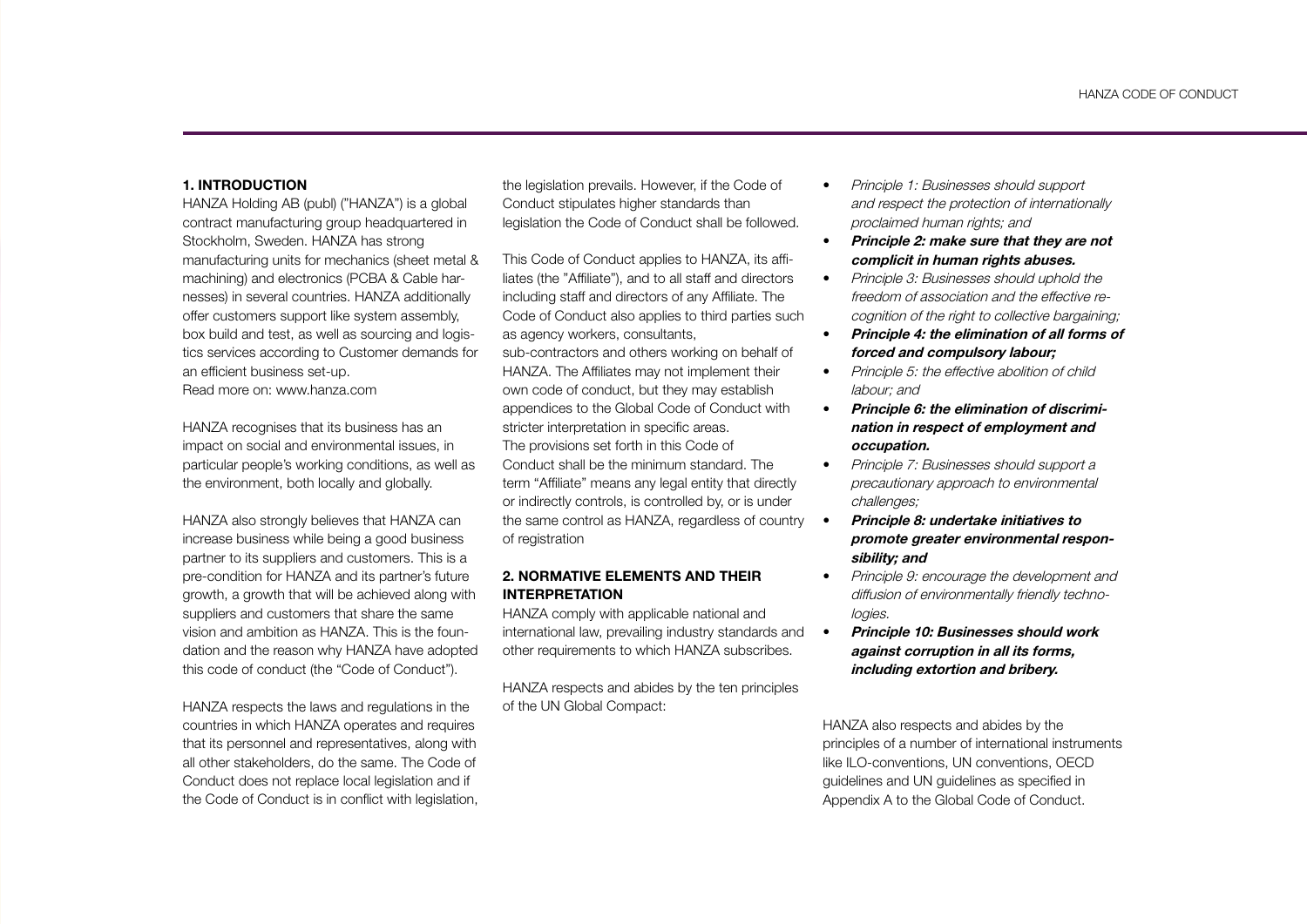## 1. INTRODUCTION

HANZA Holding AB (publ) ("HANZA") is a global contract manufacturing group headquartered in Stockholm, Sweden. HANZA has strong manufacturing units for mechanics (sheet metal & machining) and electronics (PCBA & Cable harnesses) in several countries. HANZA additionally offer customers support like system assembly, box build and test, as well as sourcing and logistics services according to Customer demands for an efficient business set-up. Read more on: www.hanza.com

HANZA recognises that its business has an impact on social and environmental issues, in particular people's working conditions, as well as the environment, both locally and globally.

HANZA also strongly believes that HANZA can increase business while being a good business partner to its suppliers and customers. This is a pre-condition for HANZA and its partner's future growth, a growth that will be achieved along with suppliers and customers that share the same vision and ambition as HANZA. This is the foundation and the reason why HANZA have adopted this code of conduct (the "Code of Conduct").

HANZA respects the laws and regulations in the countries in which HANZA operates and requires that its personnel and representatives, along with all other stakeholders, do the same. The Code of Conduct does not replace local legislation and if the Code of Conduct is in conflict with legislation, the legislation prevails. However, if the Code of Conduct stipulates higher standards than legislation the Code of Conduct shall be followed.

This Code of Conduct applies to HANZA, its affiliates (the "Affiliate"), and to all staff and directors including staff and directors of any Affiliate. The Code of Conduct also applies to third parties such as agency workers, consultants, sub-contractors and others working on behalf of HANZA. The Affiliates may not implement their own code of conduct, but they may establish appendices to the Global Code of Conduct with stricter interpretation in specific areas. The provisions set forth in this Code of Conduct shall be the minimum standard. The term "Affiliate" means any legal entity that directly or indirectly controls, is controlled by, or is under the same control as HANZA, regardless of country  $\bullet$ of registration

## 2. NORMATIVE ELEMENTS AND THEIR INTERPRETATION

HANZA comply with applicable national and international law, prevailing industry standards and other requirements to which HANZA subscribes.

HANZA respects and abides by the ten principles of the UN Global Compact:

- Principle 1: Businesses should support and respect the protection of internationally proclaimed human rights; and
- Principle 2: make sure that they are not complicit in human rights abuses.
- Principle 3: Businesses should uphold the freedom of association and the effective recognition of the right to collective bargaining;
- Principle 4: the elimination of all forms of forced and compulsory labour;
- Principle 5: the effective abolition of child labour; and
- Principle 6: the elimination of discrimination in respect of employment and occupation.
- Principle 7: Businesses should support a precautionary approach to environmental challenges;
- Principle 8: undertake initiatives to promote greater environmental responsibility; and
- Principle 9: encourage the development and diffusion of environmentally friendly technologies.
- Principle 10: Businesses should work against corruption in all its forms, including extortion and bribery.

HANZA also respects and abides by the principles of a number of international instruments like ILO-conventions, UN conventions, OECD guidelines and UN guidelines as specified in Appendix A to the Global Code of Conduct.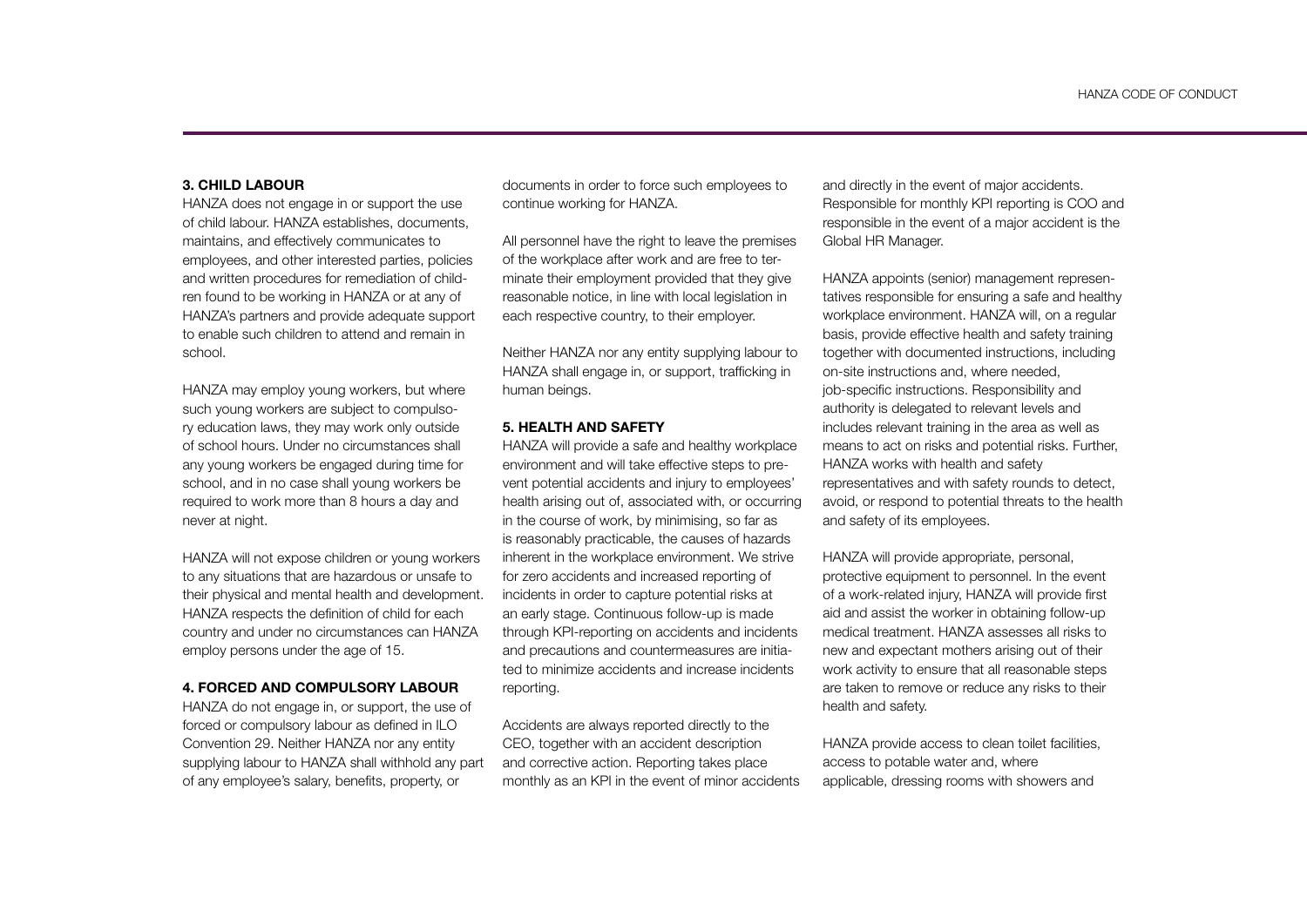## 3. CHILD LABOUR

HANZA does not engage in or support the use of child labour. HANZA establishes, documents, maintains, and effectively communicates to employees, and other interested parties, policies and written procedures for remediation of children found to be working in HANZA or at any of HANZA's partners and provide adequate support to enable such children to attend and remain in school.

HANZA may employ young workers, but where such young workers are subject to compulsory education laws, they may work only outside of school hours. Under no circumstances shall any young workers be engaged during time for school, and in no case shall young workers be required to work more than 8 hours a day and never at night.

HANZA will not expose children or young workers to any situations that are hazardous or unsafe to their physical and mental health and development. HANZA respects the definition of child for each country and under no circumstances can HANZA employ persons under the age of 15.

#### 4. FORCED AND COMPULSORY LABOUR

HANZA do not engage in, or support, the use of forced or compulsory labour as defined in ILO Convention 29. Neither HANZA nor any entity supplying labour to HANZA shall withhold any part of any employee's salary, benefits, property, or

documents in order to force such employees to continue working for HANZA.

All personnel have the right to leave the premises of the workplace after work and are free to terminate their employment provided that they give reasonable notice, in line with local legislation in each respective country, to their employer.

Neither HANZA nor any entity supplying labour to HANZA shall engage in, or support, trafficking in human beings.

## 5. HEALTH AND SAFETY

HANZA will provide a safe and healthy workplace environment and will take effective steps to prevent potential accidents and injury to employees' health arising out of, associated with, or occurring in the course of work, by minimising, so far as is reasonably practicable, the causes of hazards inherent in the workplace environment. We strive for zero accidents and increased reporting of incidents in order to capture potential risks at an early stage. Continuous follow-up is made through KPI-reporting on accidents and incidents and precautions and countermeasures are initiated to minimize accidents and increase incidents reporting.

Accidents are always reported directly to the CEO, together with an accident description and corrective action. Reporting takes place monthly as an KPI in the event of minor accidents and directly in the event of major accidents. Responsible for monthly KPI reporting is COO and responsible in the event of a major accident is the Global HR Manager.

HANZA appoints (senior) management representatives responsible for ensuring a safe and healthy workplace environment. HANZA will, on a regular basis, provide effective health and safety training together with documented instructions, including on-site instructions and, where needed, job-specific instructions. Responsibility and authority is delegated to relevant levels and includes relevant training in the area as well as means to act on risks and potential risks. Further, HANZA works with health and safety representatives and with safety rounds to detect, avoid, or respond to potential threats to the health and safety of its employees.

HANZA will provide appropriate, personal, protective equipment to personnel. In the event of a work-related injury, HANZA will provide first aid and assist the worker in obtaining follow-up medical treatment. HANZA assesses all risks to new and expectant mothers arising out of their work activity to ensure that all reasonable steps are taken to remove or reduce any risks to their health and safety.

HANZA provide access to clean toilet facilities, access to potable water and, where applicable, dressing rooms with showers and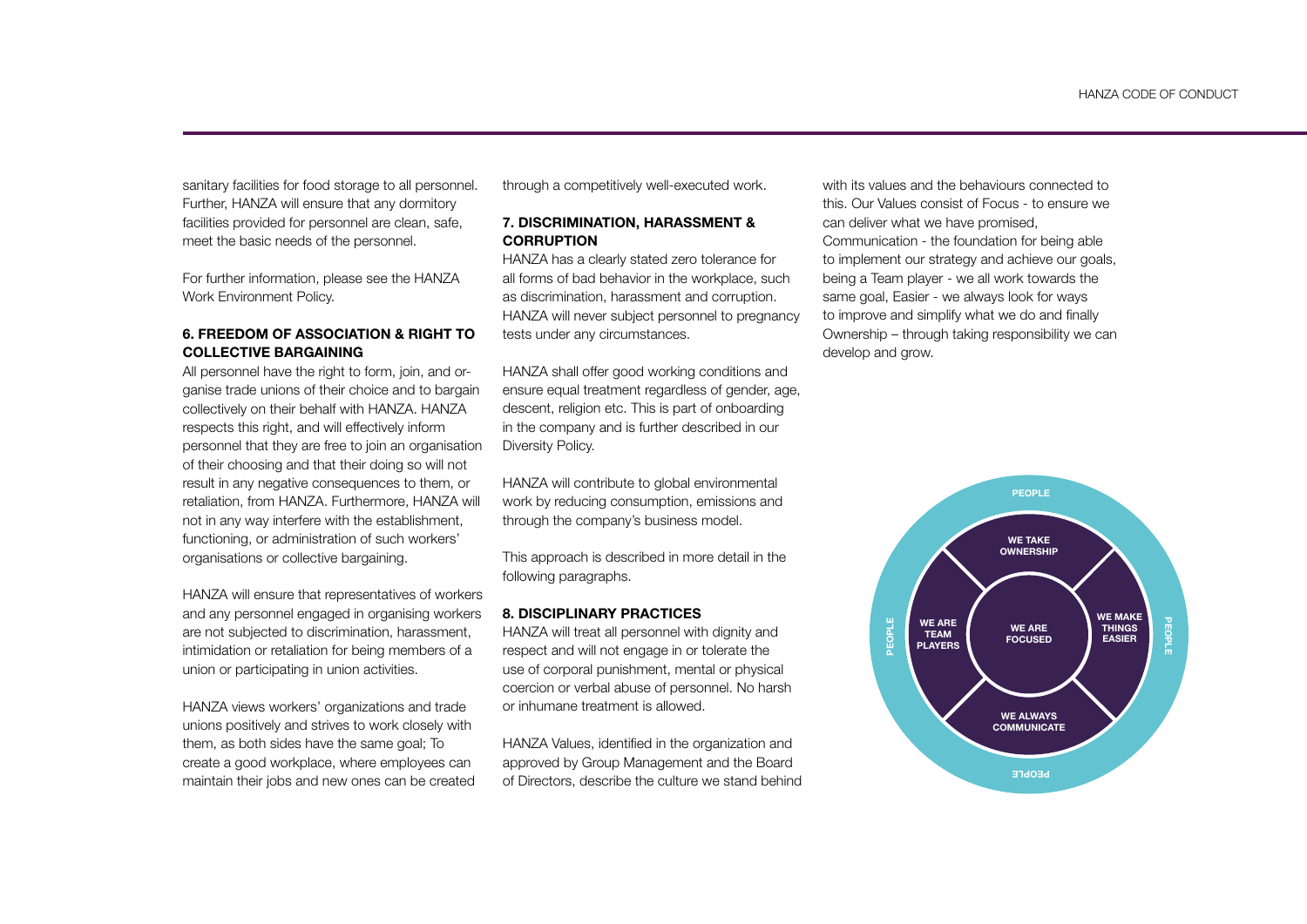sanitary facilities for food storage to all personnel. Further, HANZA will ensure that any dormitory facilities provided for personnel are clean, safe, meet the basic needs of the personnel.

For further information, please see the HANZA Work Environment Policy.

## 6. FREEDOM OF ASSOCIATION & RIGHT TO COLLECTIVE BARGAINING

All personnel have the right to form, join, and organise trade unions of their choice and to bargain collectively on their behalf with HANZA. HANZA respects this right, and will effectively inform personnel that they are free to join an organisation of their choosing and that their doing so will not result in any negative consequences to them, or retaliation, from HANZA. Furthermore, HANZA will not in any way interfere with the establishment, functioning, or administration of such workers' organisations or collective bargaining.

HANZA will ensure that representatives of workers and any personnel engaged in organising workers are not subjected to discrimination, harassment, intimidation or retaliation for being members of a union or participating in union activities.

HANZA views workers' organizations and trade unions positively and strives to work closely with them, as both sides have the same goal; To create a good workplace, where employees can maintain their jobs and new ones can be created through a competitively well-executed work.

## 7. DISCRIMINATION, HARASSMENT & **CORRUPTION**

HANZA has a clearly stated zero tolerance for all forms of bad behavior in the workplace, such as discrimination, harassment and corruption. HANZA will never subject personnel to pregnancy tests under any circumstances.

HANZA shall offer good working conditions and ensure equal treatment regardless of gender, age, descent, religion etc. This is part of onboarding in the company and is further described in our Diversity Policy.

HANZA will contribute to global environmental work by reducing consumption, emissions and through the company's business model.

This approach is described in more detail in the following paragraphs.

## 8. DISCIPLINARY PRACTICES

HANZA will treat all personnel with dignity and respect and will not engage in or tolerate the use of corporal punishment, mental or physical coercion or verbal abuse of personnel. No harsh or inhumane treatment is allowed.

HANZA Values, identified in the organization and approved by Group Management and the Board of Directors, describe the culture we stand behind with its values and the behaviours connected to this. Our Values consist of Focus - to ensure we can deliver what we have promised, Communication - the foundation for being able to implement our strategy and achieve our goals, being a Team player - we all work towards the same goal. Easier - we always look for ways to improve and simplify what we do and finally Ownership – through taking responsibility we can develop and grow.

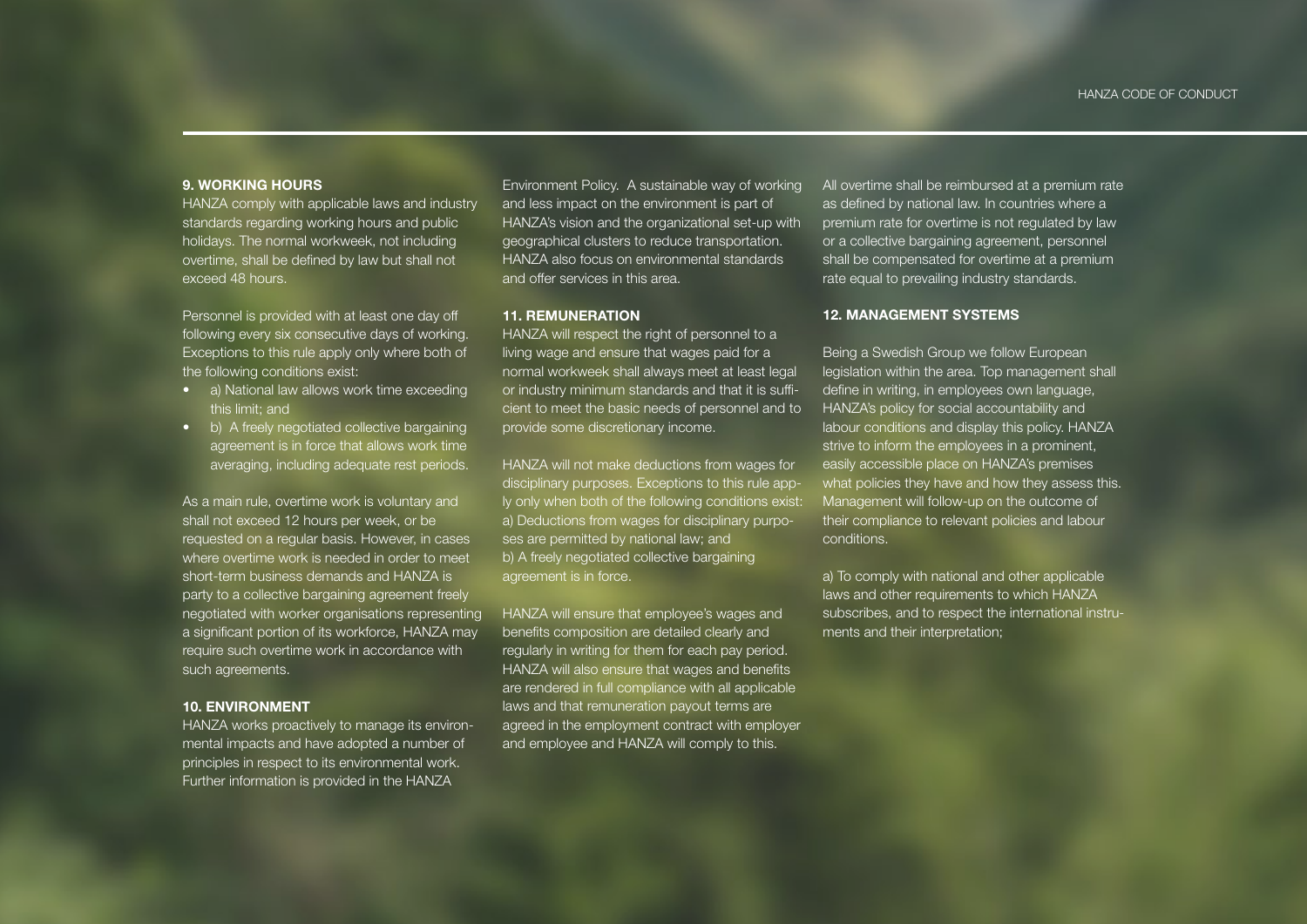#### 9. WORKING HOURS

HANZA comply with applicable laws and industry standards regarding working hours and public holidays. The normal workweek, not including overtime, shall be defined by law but shall not exceed 48 hours.

Personnel is provided with at least one day off following every six consecutive days of working. Exceptions to this rule apply only where both of the following conditions exist:

- a) National law allows work time exceeding this limit; and
- b) A freely negotiated collective bargaining agreement is in force that allows work time averaging, including adequate rest periods.

As a main rule, overtime work is voluntary and shall not exceed 12 hours per week, or be requested on a regular basis. However, in cases where overtime work is needed in order to meet short-term business demands and HANZA is party to a collective bargaining agreement freely negotiated with worker organisations representing a significant portion of its workforce, HANZA may require such overtime work in accordance with such agreements.

### 10. ENVIRONMENT

HANZA works proactively to manage its environmental impacts and have adopted a number of principles in respect to its environmental work. Further information is provided in the HANZA

Environment Policy. A sustainable way of working and less impact on the environment is part of HANZA's vision and the organizational set-up with geographical clusters to reduce transportation. HANZA also focus on environmental standards and offer services in this area.

#### 11. REMUNERATION

HANZA will respect the right of personnel to a living wage and ensure that wages paid for a normal workweek shall always meet at least legal or industry minimum standards and that it is sufficient to meet the basic needs of personnel and to provide some discretionary income.

HANZA will not make deductions from wages for disciplinary purposes. Exceptions to this rule apply only when both of the following conditions exist: a) Deductions from wages for disciplinary purposes are permitted by national law; and b) A freely negotiated collective bargaining agreement is in force.

HANZA will ensure that employee's wages and benefits composition are detailed clearly and regularly in writing for them for each pay period. HANZA will also ensure that wages and benefits are rendered in full compliance with all applicable laws and that remuneration payout terms are agreed in the employment contract with employer and employee and HANZA will comply to this.

All overtime shall be reimbursed at a premium rate as defined by national law. In countries where a premium rate for overtime is not regulated by law or a collective bargaining agreement, personnel shall be compensated for overtime at a premium rate equal to prevailing industry standards.

### 12. MANAGEMENT SYSTEMS

Being a Swedish Group we follow European legislation within the area. Top management shall define in writing, in employees own language, HANZA's policy for social accountability and labour conditions and display this policy. HANZA strive to inform the employees in a prominent, easily accessible place on HANZA's premises what policies they have and how they assess this. Management will follow-up on the outcome of their compliance to relevant policies and labour conditions.

a) To comply with national and other applicable laws and other requirements to which HANZA subscribes, and to respect the international instruments and their interpretation;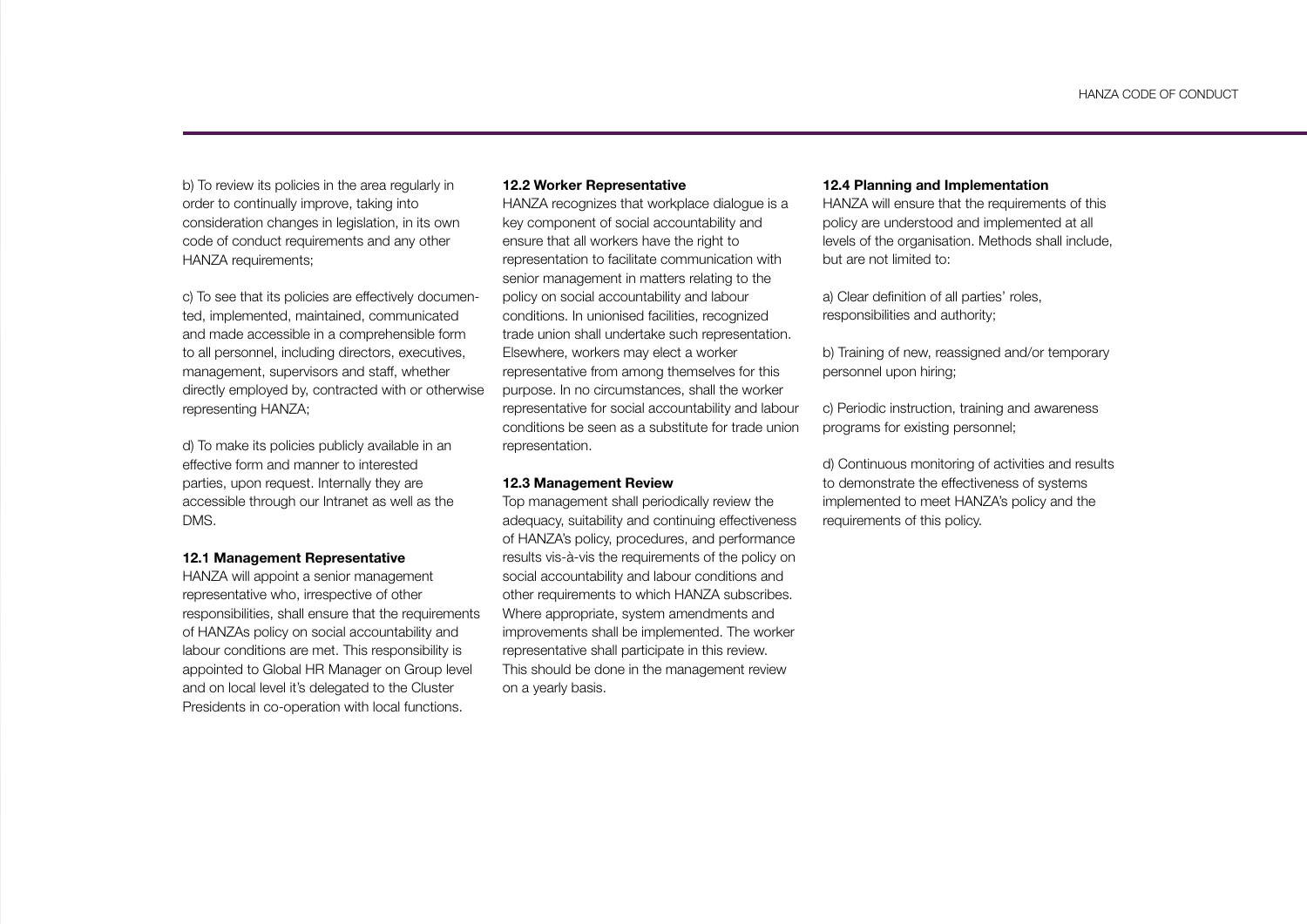b) To review its policies in the area regularly in order to continually improve, taking into consideration changes in legislation, in its own code of conduct requirements and any other HANZA requirements;

c) To see that its policies are effectively documented, implemented, maintained, communicated and made accessible in a comprehensible form to all personnel, including directors, executives, management, supervisors and staff, whether directly employed by, contracted with or otherwise representing HANZA;

d) To make its policies publicly available in an effective form and manner to interested parties, upon request. Internally they are accessible through our Intranet as well as the DMS.

#### 12.1 Management Representative

HANZA will appoint a senior management representative who, irrespective of other responsibilities, shall ensure that the requirements of HANZAs policy on social accountability and labour conditions are met. This responsibility is appointed to Global HR Manager on Group level and on local level it's delegated to the Cluster Presidents in co-operation with local functions.

## 12.2 Worker Representative

HANZA recognizes that workplace dialogue is a key component of social accountability and ensure that all workers have the right to representation to facilitate communication with senior management in matters relating to the policy on social accountability and labour conditions. In unionised facilities, recognized trade union shall undertake such representation. Elsewhere, workers may elect a worker representative from among themselves for this purpose. In no circumstances, shall the worker representative for social accountability and labour conditions be seen as a substitute for trade union representation.

### 12.3 Management Review

Top management shall periodically review the adequacy, suitability and continuing effectiveness of HANZA's policy, procedures, and performance results vis-à-vis the requirements of the policy on social accountability and labour conditions and other requirements to which HANZA subscribes. Where appropriate, system amendments and improvements shall be implemented. The worker representative shall participate in this review. This should be done in the management review on a yearly basis.

#### 12.4 Planning and Implementation

HANZA will ensure that the requirements of this policy are understood and implemented at all levels of the organisation. Methods shall include, but are not limited to:

a) Clear definition of all parties' roles, responsibilities and authority;

b) Training of new, reassigned and/or temporary personnel upon hiring;

c) Periodic instruction, training and awareness programs for existing personnel;

d) Continuous monitoring of activities and results to demonstrate the effectiveness of systems implemented to meet HANZA's policy and the requirements of this policy.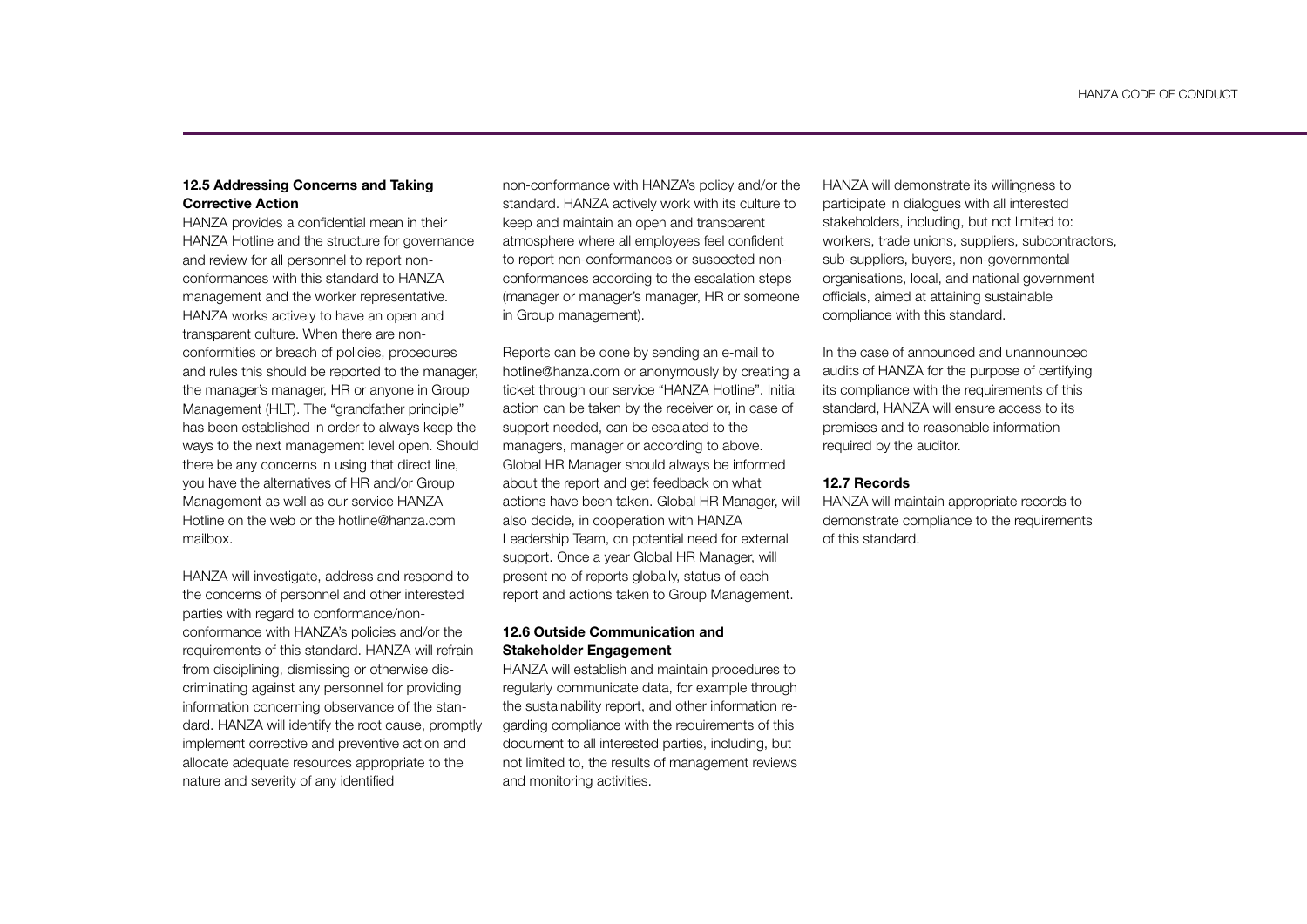## 12.5 Addressing Concerns and Taking Corrective Action

HANZA provides a confidential mean in their HANZA Hotline and the structure for governance and review for all personnel to report nonconformances with this standard to HANZA management and the worker representative. HANZA works actively to have an open and transparent culture. When there are nonconformities or breach of policies, procedures and rules this should be reported to the manager, the manager's manager, HR or anyone in Group Management (HLT). The "grandfather principle" has been established in order to always keep the ways to the next management level open. Should there be any concerns in using that direct line, you have the alternatives of HR and/or Group Management as well as our service HANZA Hotline on the web or the hotline@hanza.com mailbox.

HANZA will investigate, address and respond to the concerns of personnel and other interested parties with regard to conformance/nonconformance with HANZA's policies and/or the requirements of this standard. HANZA will refrain from disciplining, dismissing or otherwise discriminating against any personnel for providing information concerning observance of the standard. HANZA will identify the root cause, promptly implement corrective and preventive action and allocate adequate resources appropriate to the nature and severity of any identified

non-conformance with HANZA's policy and/or the standard. HANZA actively work with its culture to keep and maintain an open and transparent atmosphere where all employees feel confident to report non-conformances or suspected nonconformances according to the escalation steps (manager or manager's manager, HR or someone in Group management).

Reports can be done by sending an e-mail to hotline@hanza.com or anonymously by creating a ticket through our service "HANZA Hotline". Initial action can be taken by the receiver or, in case of support needed, can be escalated to the managers, manager or according to above. Global HR Manager should always be informed about the report and get feedback on what actions have been taken. Global HR Manager, will also decide, in cooperation with HANZA Leadership Team, on potential need for external support. Once a year Global HR Manager, will present no of reports globally, status of each report and actions taken to Group Management.

## 12.6 Outside Communication and Stakeholder Engagement

HANZA will establish and maintain procedures to regularly communicate data, for example through the sustainability report, and other information regarding compliance with the requirements of this document to all interested parties, including, but not limited to, the results of management reviews and monitoring activities.

HANZA will demonstrate its willingness to participate in dialogues with all interested stakeholders, including, but not limited to: workers, trade unions, suppliers, subcontractors, sub-suppliers, buyers, non-governmental organisations, local, and national government officials, aimed at attaining sustainable compliance with this standard.

In the case of announced and unannounced audits of HANZA for the purpose of certifying its compliance with the requirements of this standard, HANZA will ensure access to its premises and to reasonable information required by the auditor.

### 12.7 Records

HANZA will maintain appropriate records to demonstrate compliance to the requirements of this standard.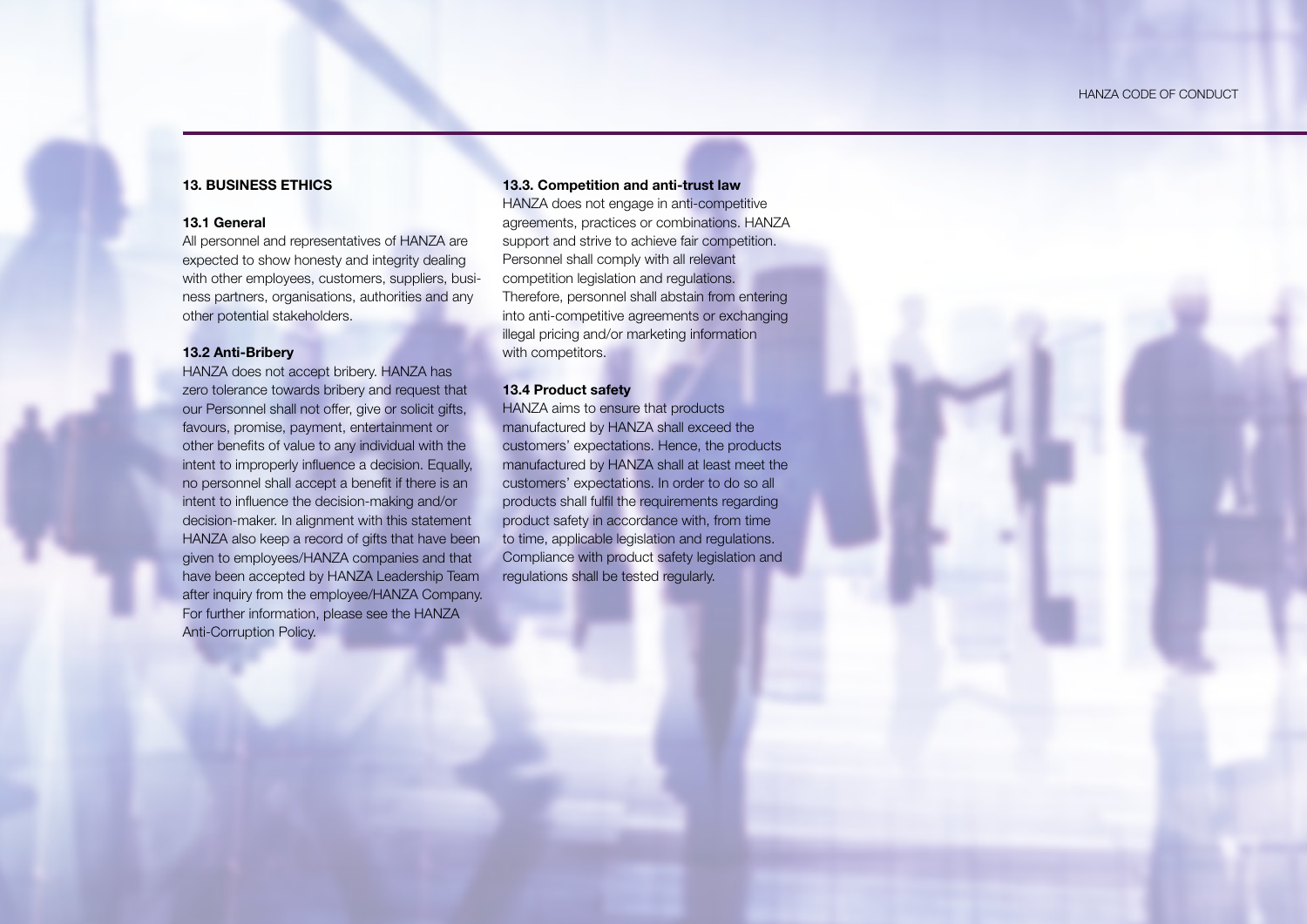### 13. BUSINESS ETHICS

#### 13.1 General

All personnel and representatives of HANZA are expected to show honesty and integrity dealing with other employees, customers, suppliers, business partners, organisations, authorities and any other potential stakeholders.

#### 13.2 Anti-Bribery

HANZA does not accept bribery. HANZA has zero tolerance towards bribery and request that our Personnel shall not offer, give or solicit gifts, favours, promise, payment, entertainment or other benefits of value to any individual with the intent to improperly influence a decision. Equally, no personnel shall accept a benefit if there is an intent to influence the decision-making and/or decision-maker. In alignment with this statement HANZA also keep a record of gifts that have been given to employees/HANZA companies and that have been accepted by HANZA Leadership Team after inquiry from the employee/HANZA Company. For further information, please see the HANZA Anti-Corruption Policy.

#### 13.3. Competition and anti-trust law

HANZA does not engage in anti-competitive agreements, practices or combinations. HANZA support and strive to achieve fair competition. Personnel shall comply with all relevant competition legislation and regulations. Therefore, personnel shall abstain from entering into anti-competitive agreements or exchanging illegal pricing and/or marketing information with competitors.

#### 13.4 Product safety

HANZA aims to ensure that products manufactured by HANZA shall exceed the customers' expectations. Hence, the products manufactured by HANZA shall at least meet the customers' expectations. In order to do so all products shall fulfil the requirements regarding product safety in accordance with, from time to time, applicable legislation and regulations. Compliance with product safety legislation and regulations shall be tested regularly.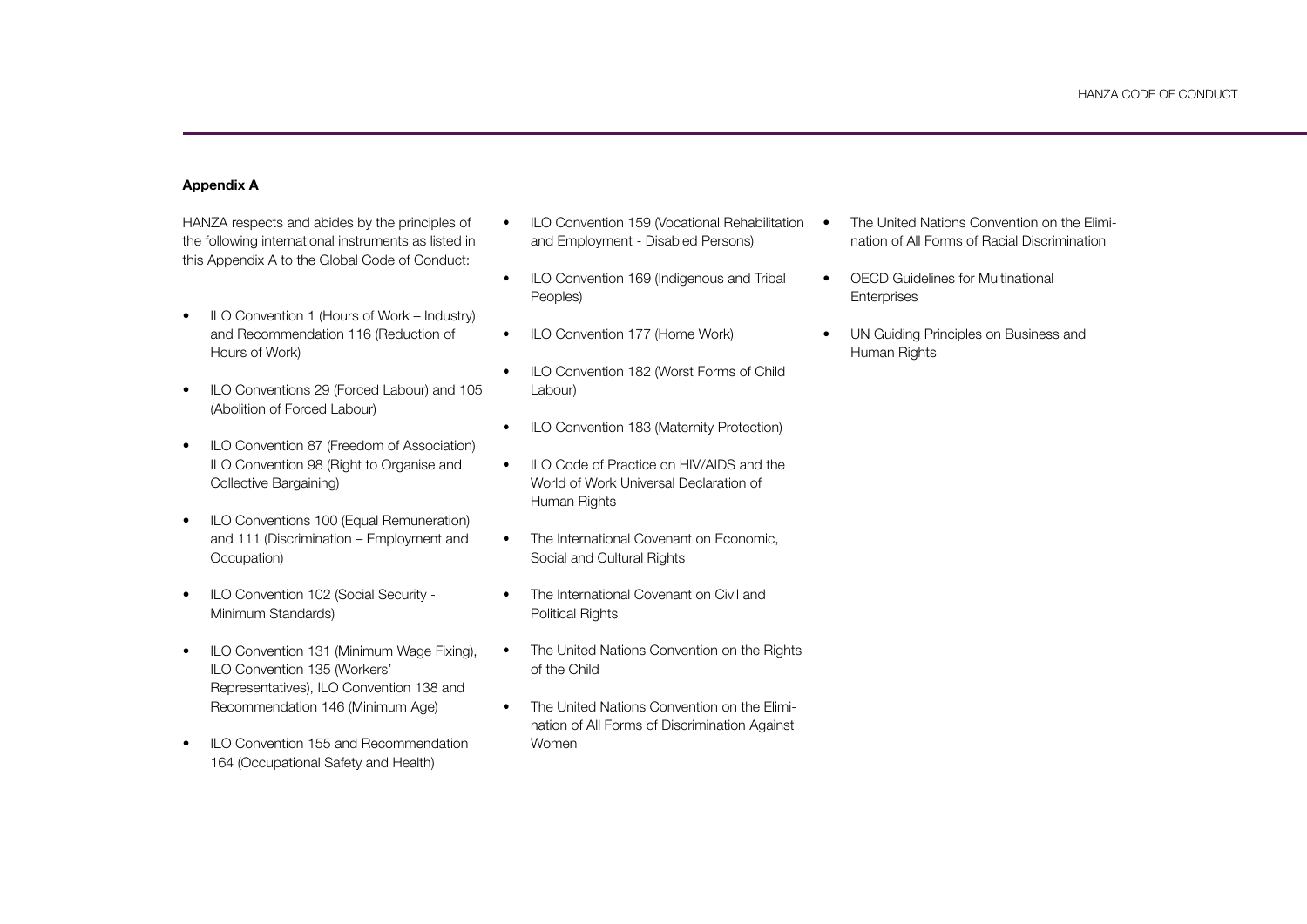## Appendix A

HANZA respects and abides by the principles of the following international instruments as listed in this Appendix A to the Global Code of Conduct:

- ILO Convention 1 (Hours of Work Industry) and Recommendation 116 (Reduction of Hours of Work)
- ILO Conventions 29 (Forced Labour) and 105 (Abolition of Forced Labour)
- ILO Convention 87 (Freedom of Association) ILO Convention 98 (Right to Organise and Collective Bargaining)
- ILO Conventions 100 (Equal Remuneration) and 111 (Discrimination – Employment and Occupation)
- ILO Convention 102 (Social Security Minimum Standards)
- ILO Convention 131 (Minimum Wage Fixing), ILO Convention 135 (Workers' Representatives), ILO Convention 138 and Recommendation 146 (Minimum Age)
- ILO Convention 155 and Recommendation 164 (Occupational Safety and Health)
- ILO Convention 159 (Vocational Rehabilitation and Employment - Disabled Persons)
- ILO Convention 169 (Indigenous and Tribal Peoples)
- ILO Convention 177 (Home Work)
- ILO Convention 182 (Worst Forms of Child Labour)
- ILO Convention 183 (Maternity Protection)
- ILO Code of Practice on HIV/AIDS and the World of Work Universal Declaration of Human Rights
- The International Covenant on Economic. Social and Cultural Rights
- The International Covenant on Civil and Political Rights
- The United Nations Convention on the Rights of the Child
- The United Nations Convention on the Elimination of All Forms of Discrimination Against Women
- The United Nations Convention on the Elimination of All Forms of Racial Discrimination
- OECD Guidelines for Multinational Enterprises
- UN Guiding Principles on Business and Human Rights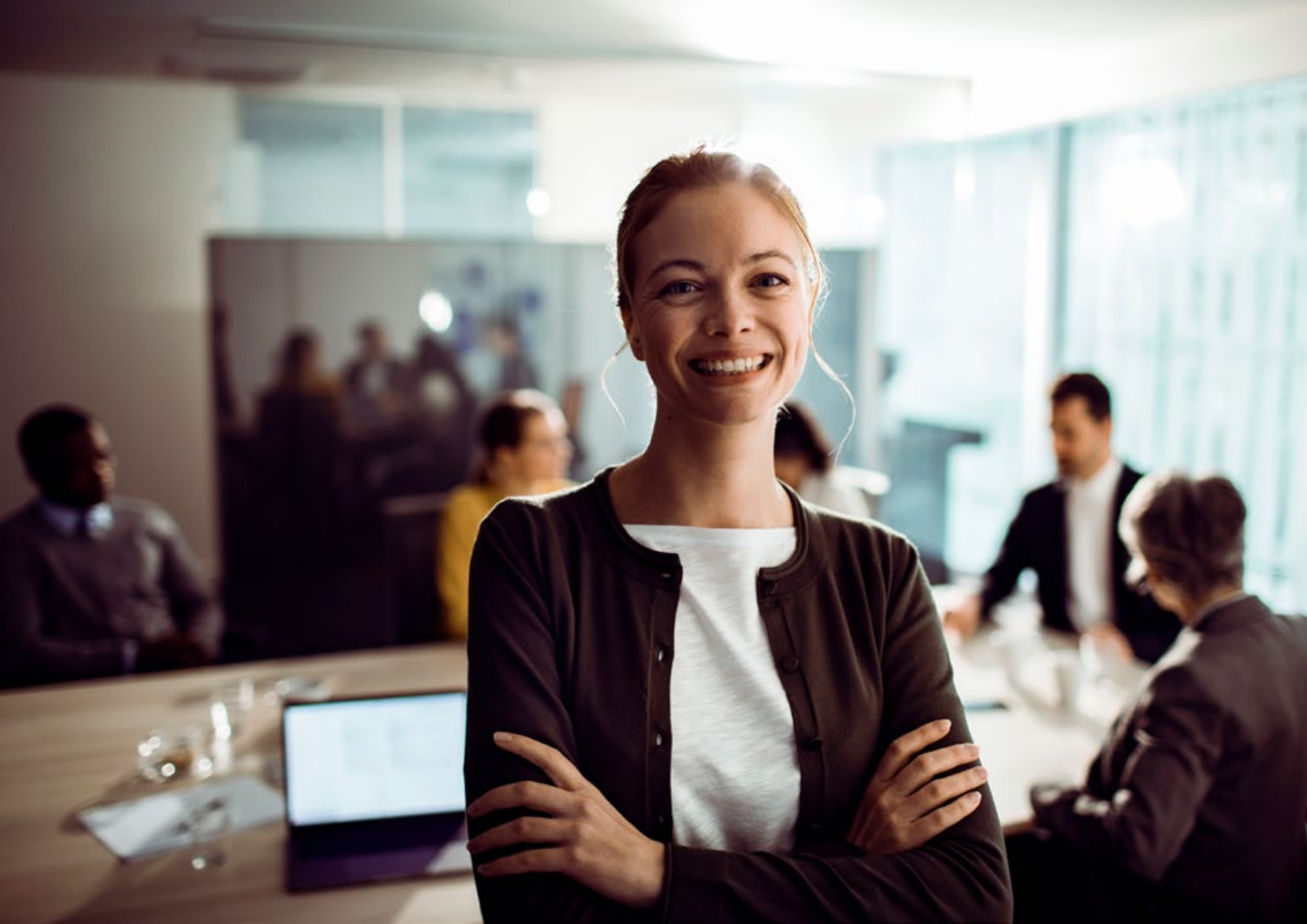